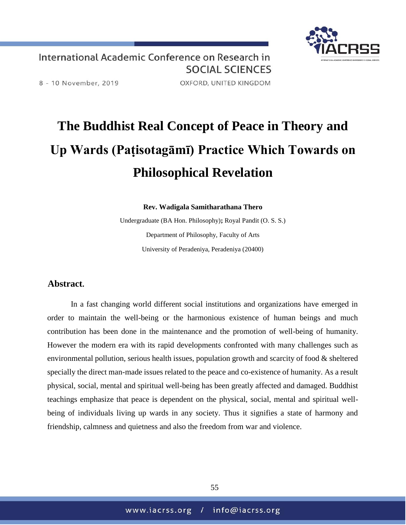

International Academic Conference on Research in **SOCIAL SCIENCES** 

8 - 10 November, 2019

OXFORD, UNITED KINGDOM

## **The Buddhist Real Concept of Peace in Theory and Up Wards (Paṭisotagāmī) Practice Which Towards on Philosophical Revelation**

**Rev. Wadigala Samitharathana Thero**

Undergraduate (BA Hon. Philosophy)**;** Royal Pandit (O. S. S.) Department of Philosophy, Faculty of Arts University of Peradeniya, Peradeniya (20400)

## **Abstract.**

In a fast changing world different social institutions and organizations have emerged in order to maintain the well-being or the harmonious existence of human beings and much contribution has been done in the maintenance and the promotion of well-being of humanity. However the modern era with its rapid developments confronted with many challenges such as environmental pollution, serious health issues, population growth and scarcity of food & sheltered specially the direct man-made issues related to the peace and co-existence of humanity. As a result physical, social, mental and spiritual well-being has been greatly affected and damaged. Buddhist teachings emphasize that peace is dependent on the physical, social, mental and spiritual wellbeing of individuals living up wards in any society. Thus it signifies a state of harmony and friendship, calmness and quietness and also the freedom from war and violence.